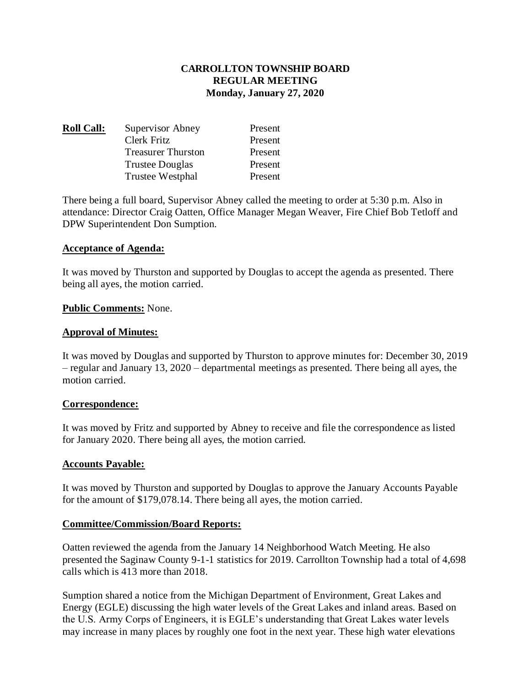# **CARROLLTON TOWNSHIP BOARD REGULAR MEETING Monday, January 27, 2020**

| <b>Roll Call:</b> | Supervisor Abney          | Present |
|-------------------|---------------------------|---------|
|                   | Clerk Fritz               | Present |
|                   | <b>Treasurer Thurston</b> | Present |
|                   | <b>Trustee Douglas</b>    | Present |
|                   | Trustee Westphal          | Present |

There being a full board, Supervisor Abney called the meeting to order at 5:30 p.m. Also in attendance: Director Craig Oatten, Office Manager Megan Weaver, Fire Chief Bob Tetloff and DPW Superintendent Don Sumption.

### **Acceptance of Agenda:**

It was moved by Thurston and supported by Douglas to accept the agenda as presented. There being all ayes, the motion carried.

### **Public Comments:** None.

### **Approval of Minutes:**

It was moved by Douglas and supported by Thurston to approve minutes for: December 30, 2019 – regular and January 13, 2020 – departmental meetings as presented. There being all ayes, the motion carried.

## **Correspondence:**

It was moved by Fritz and supported by Abney to receive and file the correspondence as listed for January 2020. There being all ayes, the motion carried.

#### **Accounts Payable:**

It was moved by Thurston and supported by Douglas to approve the January Accounts Payable for the amount of \$179,078.14. There being all ayes, the motion carried.

#### **Committee/Commission/Board Reports:**

Oatten reviewed the agenda from the January 14 Neighborhood Watch Meeting. He also presented the Saginaw County 9-1-1 statistics for 2019. Carrollton Township had a total of 4,698 calls which is 413 more than 2018.

Sumption shared a notice from the Michigan Department of Environment, Great Lakes and Energy (EGLE) discussing the high water levels of the Great Lakes and inland areas. Based on the U.S. Army Corps of Engineers, it is EGLE's understanding that Great Lakes water levels may increase in many places by roughly one foot in the next year. These high water elevations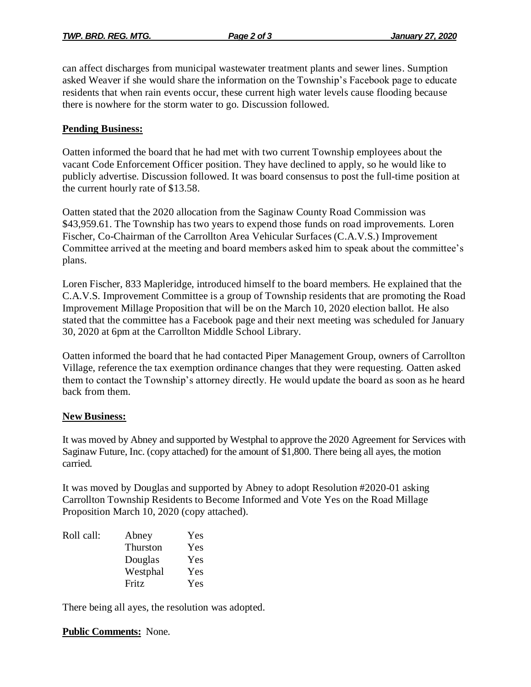can affect discharges from municipal wastewater treatment plants and sewer lines. Sumption asked Weaver if she would share the information on the Township's Facebook page to educate residents that when rain events occur, these current high water levels cause flooding because there is nowhere for the storm water to go. Discussion followed.

# **Pending Business:**

Oatten informed the board that he had met with two current Township employees about the vacant Code Enforcement Officer position. They have declined to apply, so he would like to publicly advertise. Discussion followed. It was board consensus to post the full-time position at the current hourly rate of \$13.58.

Oatten stated that the 2020 allocation from the Saginaw County Road Commission was \$43,959.61. The Township has two years to expend those funds on road improvements. Loren Fischer, Co-Chairman of the Carrollton Area Vehicular Surfaces (C.A.V.S.) Improvement Committee arrived at the meeting and board members asked him to speak about the committee's plans.

Loren Fischer, 833 Mapleridge, introduced himself to the board members. He explained that the C.A.V.S. Improvement Committee is a group of Township residents that are promoting the Road Improvement Millage Proposition that will be on the March 10, 2020 election ballot. He also stated that the committee has a Facebook page and their next meeting was scheduled for January 30, 2020 at 6pm at the Carrollton Middle School Library.

Oatten informed the board that he had contacted Piper Management Group, owners of Carrollton Village, reference the tax exemption ordinance changes that they were requesting. Oatten asked them to contact the Township's attorney directly. He would update the board as soon as he heard back from them.

## **New Business:**

It was moved by Abney and supported by Westphal to approve the 2020 Agreement for Services with Saginaw Future, Inc. (copy attached) for the amount of \$1,800. There being all ayes, the motion carried.

It was moved by Douglas and supported by Abney to adopt Resolution #2020-01 asking Carrollton Township Residents to Become Informed and Vote Yes on the Road Millage Proposition March 10, 2020 (copy attached).

| Roll call: | Abney    | Yes |
|------------|----------|-----|
|            | Thurston | Yes |
|            | Douglas  | Yes |
|            | Westphal | Yes |
|            | Fritz    | Yes |

There being all ayes, the resolution was adopted.

# **Public Comments:** None.